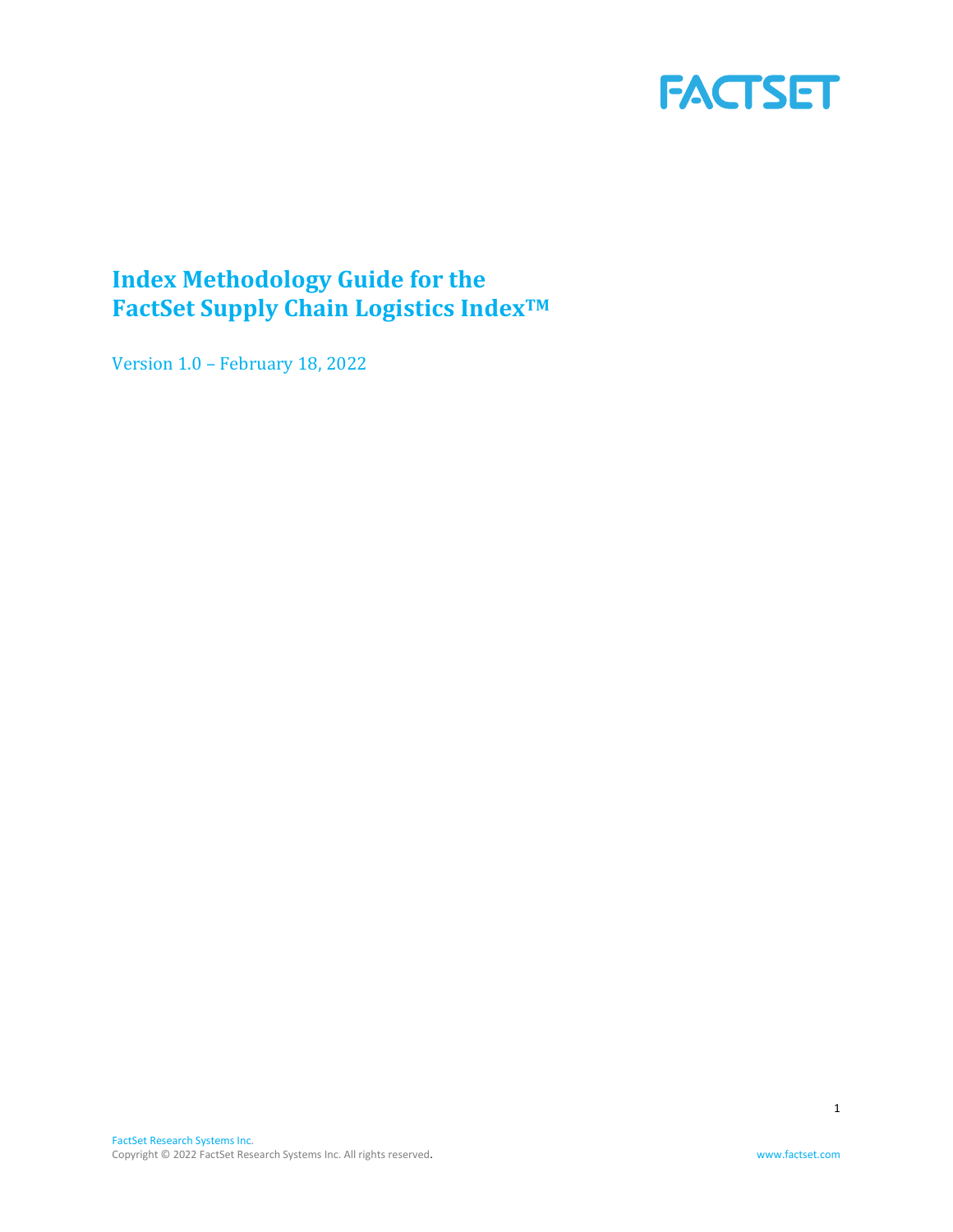

# <span id="page-0-0"></span>**Index Methodology Guide for the FactSet Supply Chain Logistics IndexTM**

Version 1.0 – February 18, 2022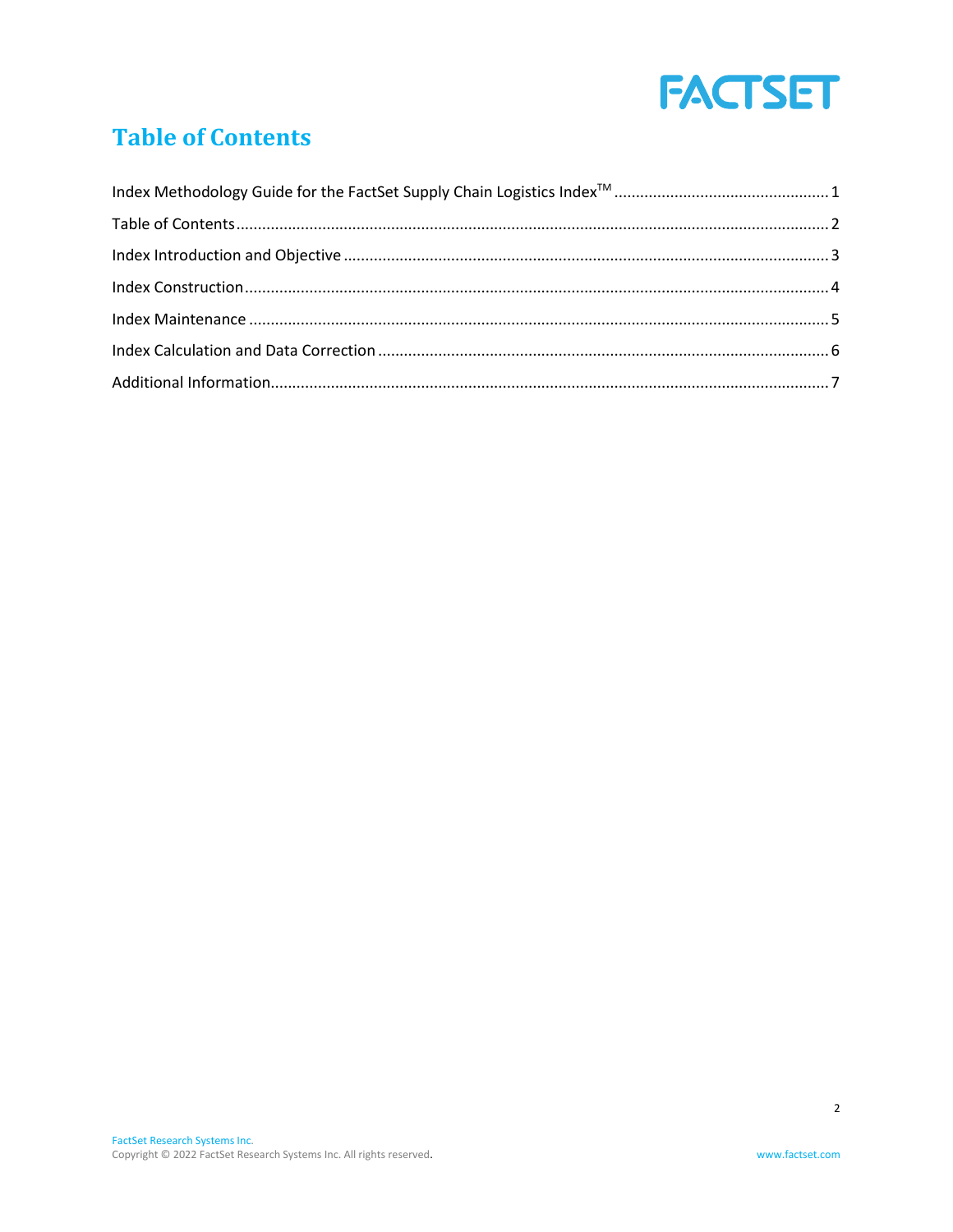

# <span id="page-1-0"></span>**Table of Contents**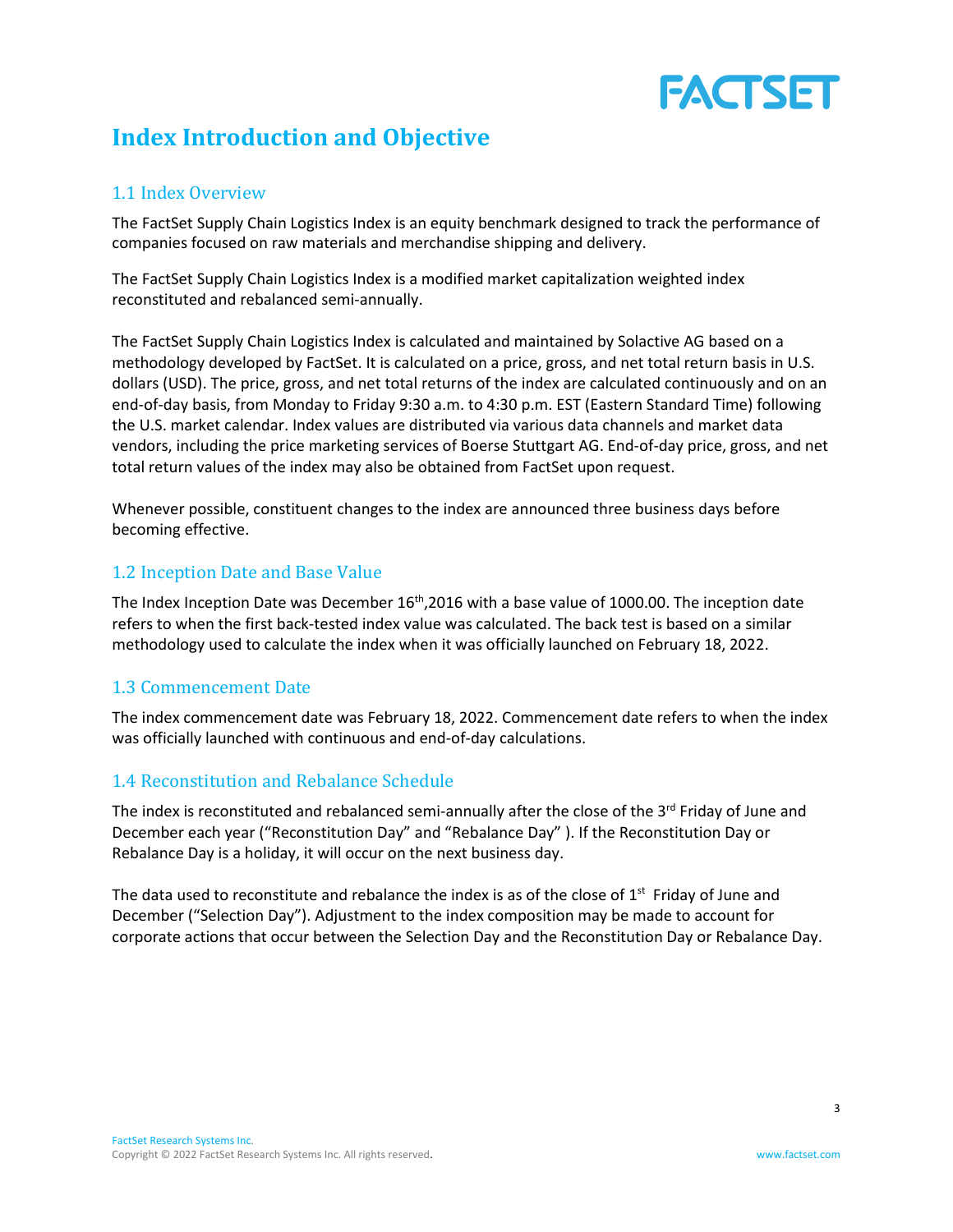# FACTSET

# <span id="page-2-0"></span>**Index Introduction and Objective**

# 1.1 Index Overview

The FactSet Supply Chain Logistics Index is an equity benchmark designed to track the performance of companies focused on raw materials and merchandise shipping and delivery.

The FactSet Supply Chain Logistics Index is a modified market capitalization weighted index reconstituted and rebalanced semi-annually.

The FactSet Supply Chain Logistics Index is calculated and maintained by Solactive AG based on a methodology developed by FactSet. It is calculated on a price, gross, and net total return basis in U.S. dollars (USD). The price, gross, and net total returns of the index are calculated continuously and on an end-of-day basis, from Monday to Friday 9:30 a.m. to 4:30 p.m. EST (Eastern Standard Time) following the U.S. market calendar. Index values are distributed via various data channels and market data vendors, including the price marketing services of Boerse Stuttgart AG. End-of-day price, gross, and net total return values of the index may also be obtained from FactSet upon request.

Whenever possible, constituent changes to the index are announced three business days before becoming effective.

# 1.2 Inception Date and Base Value

The Index Inception Date was December 16<sup>th</sup>,2016 with a base value of 1000.00. The inception date refers to when the first back-tested index value was calculated. The back test is based on a similar methodology used to calculate the index when it was officially launched on February 18, 2022.

# 1.3 Commencement Date

The index commencement date was February 18, 2022. Commencement date refers to when the index was officially launched with continuous and end-of-day calculations.

# 1.4 Reconstitution and Rebalance Schedule

The index is reconstituted and rebalanced semi-annually after the close of the 3<sup>rd</sup> Friday of June and December each year ("Reconstitution Day" and "Rebalance Day" ). If the Reconstitution Day or Rebalance Day is a holiday, it will occur on the next business day.

The data used to reconstitute and rebalance the index is as of the close of  $1<sup>st</sup>$  Friday of June and December ("Selection Day"). Adjustment to the index composition may be made to account for corporate actions that occur between the Selection Day and the Reconstitution Day or Rebalance Day.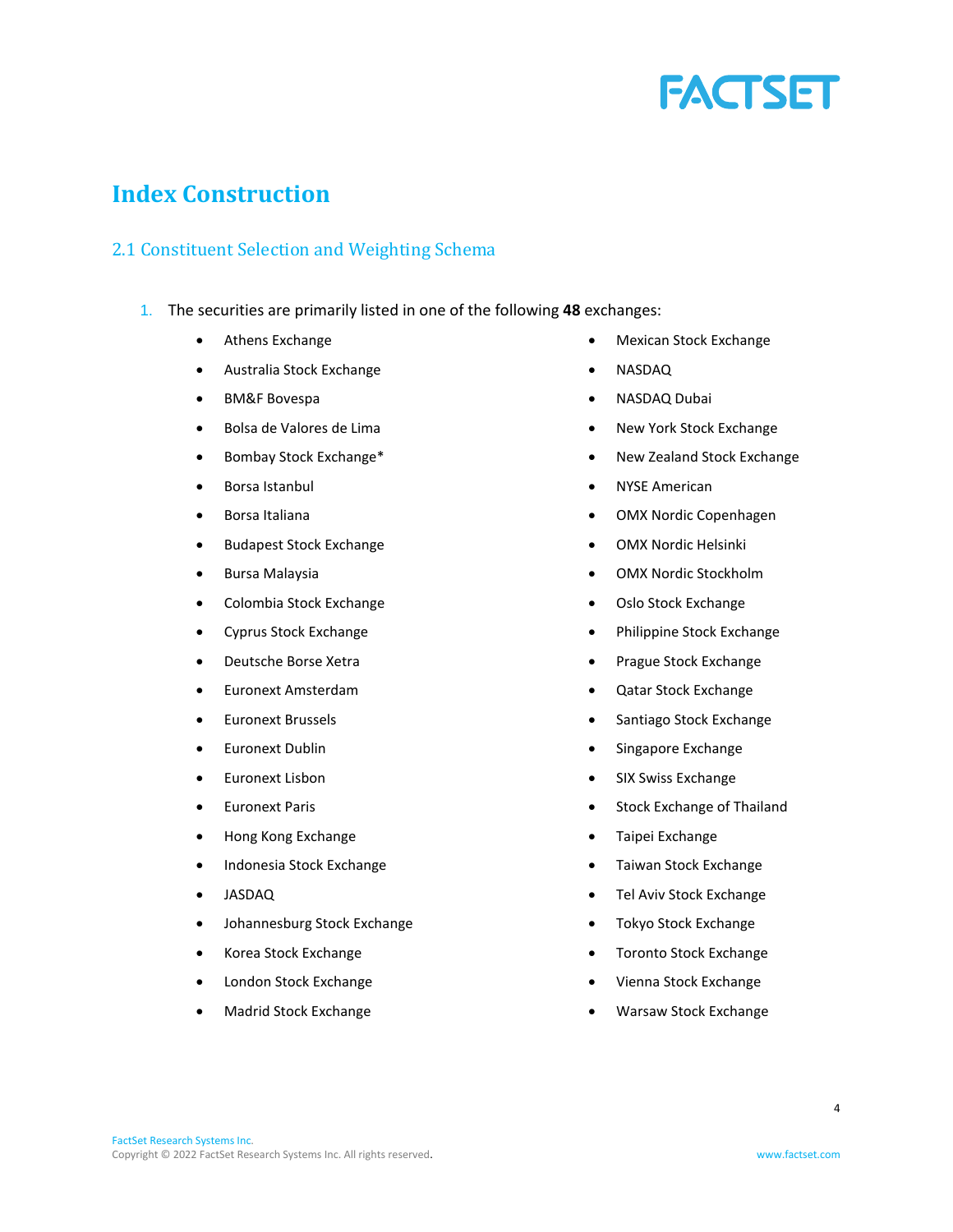

# <span id="page-3-0"></span>**Index Construction**

# 2.1 Constituent Selection and Weighting Schema

- 1. The securities are primarily listed in one of the following **48** exchanges:
	- Athens Exchange
	- Australia Stock Exchange
	- BM&F Bovespa
	- Bolsa de Valores de Lima
	- Bombay Stock Exchange\*
	- Borsa Istanbul
	- Borsa Italiana
	- Budapest Stock Exchange
	- Bursa Malaysia
	- Colombia Stock Exchange
	- Cyprus Stock Exchange
	- Deutsche Borse Xetra
	- Euronext Amsterdam
	- Euronext Brussels
	- Euronext Dublin
	- Euronext Lisbon
	- Euronext Paris
	- Hong Kong Exchange
	- Indonesia Stock Exchange
	- JASDAQ
	- Johannesburg Stock Exchange
	- Korea Stock Exchange
	- London Stock Exchange
	- Madrid Stock Exchange
- Mexican Stock Exchange
- NASDAQ
- NASDAQ Dubai
- New York Stock Exchange
- New Zealand Stock Exchange
- NYSE American
- OMX Nordic Copenhagen
- OMX Nordic Helsinki
- OMX Nordic Stockholm
- Oslo Stock Exchange
- Philippine Stock Exchange
- Prague Stock Exchange
- Qatar Stock Exchange
- Santiago Stock Exchange
- Singapore Exchange
- SIX Swiss Exchange
- Stock Exchange of Thailand
- Taipei Exchange
- Taiwan Stock Exchange
- Tel Aviv Stock Exchange
- Tokyo Stock Exchange
- Toronto Stock Exchange
- Vienna Stock Exchange
- Warsaw Stock Exchange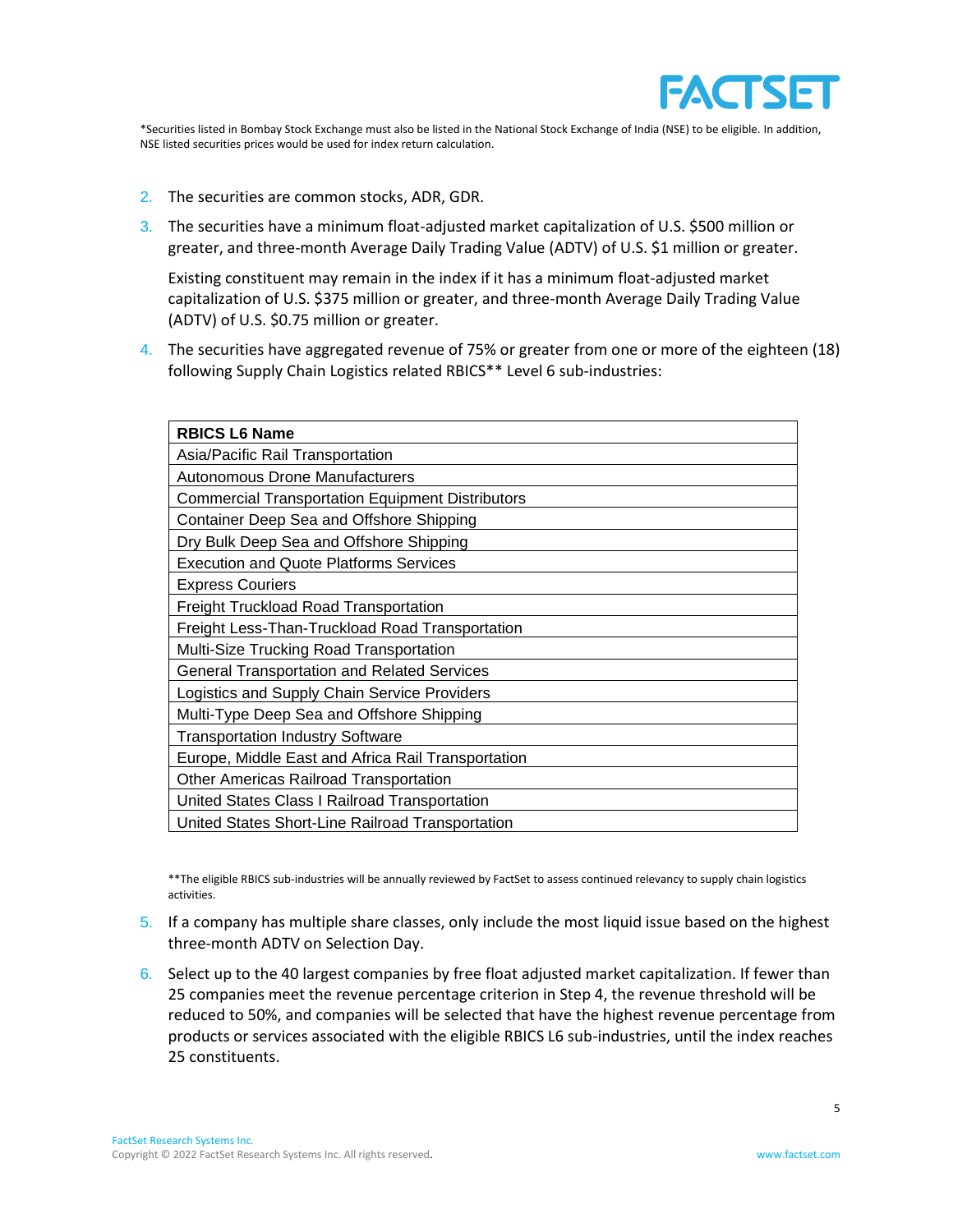

\*Securities listed in Bombay Stock Exchange must also be listed in the National Stock Exchange of India (NSE) to be eligible. In addition, NSE listed securities prices would be used for index return calculation.

- 2. The securities are common stocks, ADR, GDR.
- 3. The securities have a minimum float-adjusted market capitalization of U.S. \$500 million or greater, and three-month Average Daily Trading Value (ADTV) of U.S. \$1 million or greater.

Existing constituent may remain in the index if it has a minimum float-adjusted market capitalization of U.S. \$375 million or greater, and three-month Average Daily Trading Value (ADTV) of U.S. \$0.75 million or greater.

4. The securities have aggregated revenue of 75% or greater from one or more of the eighteen (18) following Supply Chain Logistics related RBICS\*\* Level 6 sub-industries:

| <b>RBICS L6 Name</b>                                    |
|---------------------------------------------------------|
| Asia/Pacific Rail Transportation                        |
| Autonomous Drone Manufacturers                          |
| <b>Commercial Transportation Equipment Distributors</b> |
| Container Deep Sea and Offshore Shipping                |
| Dry Bulk Deep Sea and Offshore Shipping                 |
| <b>Execution and Quote Platforms Services</b>           |
| <b>Express Couriers</b>                                 |
| <b>Freight Truckload Road Transportation</b>            |
| Freight Less-Than-Truckload Road Transportation         |
| Multi-Size Trucking Road Transportation                 |
| <b>General Transportation and Related Services</b>      |
| Logistics and Supply Chain Service Providers            |
| Multi-Type Deep Sea and Offshore Shipping               |
| <b>Transportation Industry Software</b>                 |
| Europe, Middle East and Africa Rail Transportation      |
| <b>Other Americas Railroad Transportation</b>           |
| United States Class I Railroad Transportation           |
| United States Short-Line Railroad Transportation        |

\*\*The eligible RBICS sub-industries will be annually reviewed by FactSet to assess continued relevancy to supply chain logistics activities.

- 5. If a company has multiple share classes, only include the most liquid issue based on the highest three-month ADTV on Selection Day.
- 6. Select up to the 40 largest companies by free float adjusted market capitalization. If fewer than 25 companies meet the revenue percentage criterion in Step 4, the revenue threshold will be reduced to 50%, and companies will be selected that have the highest revenue percentage from products or services associated with the eligible RBICS L6 sub-industries, until the index reaches 25 constituents.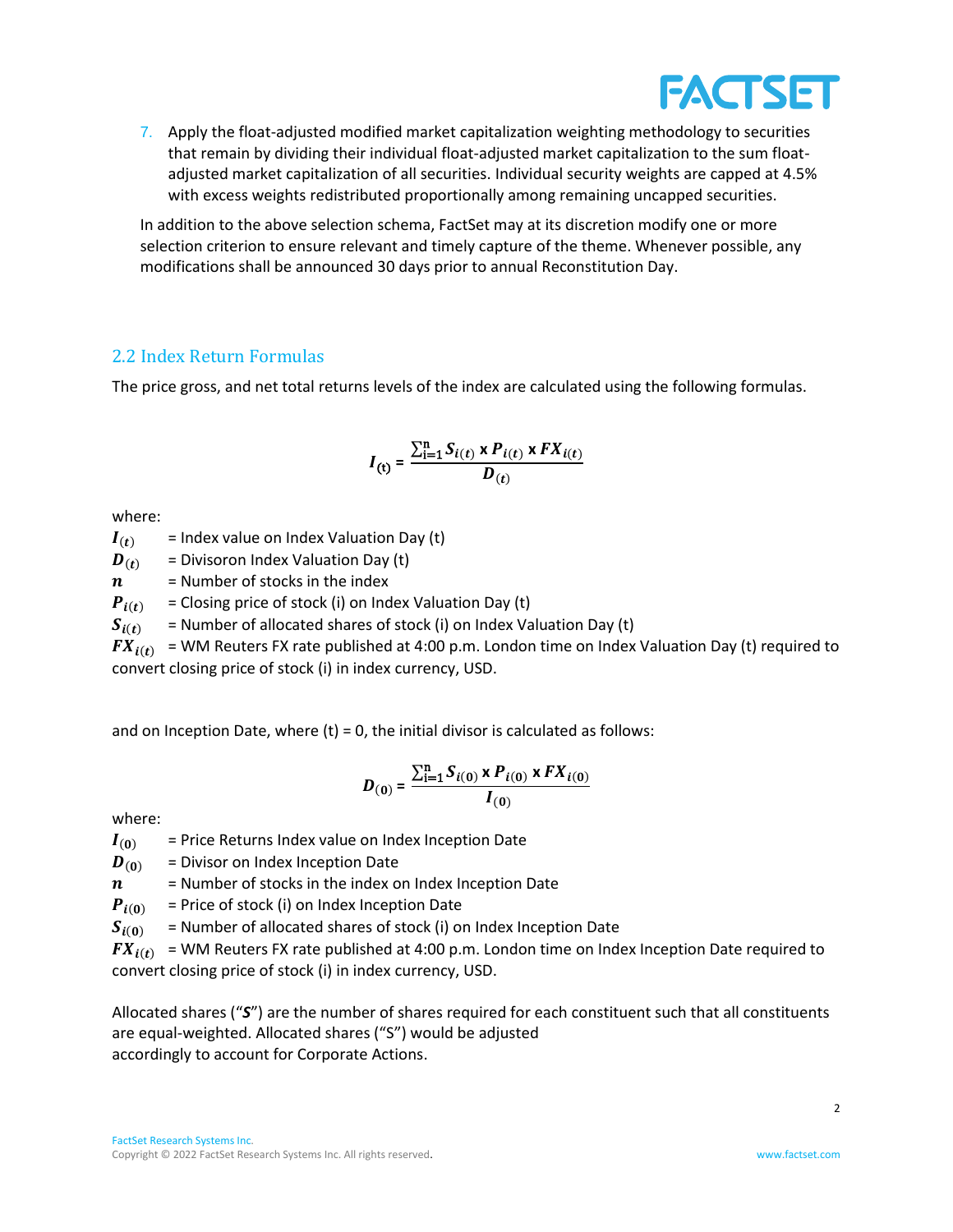

7. Apply the float-adjusted modified market capitalization weighting methodology to securities that remain by dividing their individual float-adjusted market capitalization to the sum floatadjusted market capitalization of all securities. Individual security weights are capped at 4.5% with excess weights redistributed proportionally among remaining uncapped securities.

In addition to the above selection schema, FactSet may at its discretion modify one or more selection criterion to ensure relevant and timely capture of the theme. Whenever possible, any modifications shall be announced 30 days prior to annual Reconstitution Day.

# 2.2 Index Return Formulas

The price gross, and net total returns levels of the index are calculated using the following formulas.

$$
I_{(t)} = \frac{\sum_{i=1}^{n} S_{i(t)} \times P_{i(t)} \times FX_{i(t)}}{D_{(t)}}
$$

where:

 $I(t)$  = Index value on Index Valuation Day (t)

 $\boldsymbol{D}_{(t)}$  = Divisoron Index Valuation Day (t)

 $n =$  Number of stocks in the index

 $P_{i(t)}$  = Closing price of stock (i) on Index Valuation Day (t)

 $S_{i(t)}$  = Number of allocated shares of stock (i) on Index Valuation Day (t)

 $FX_{i(t)}$  = WM Reuters FX rate published at 4:00 p.m. London time on Index Valuation Day (t) required to convert closing price of stock (i) in index currency, USD.

and on Inception Date, where  $(t) = 0$ , the initial divisor is calculated as follows:

$$
D_{(0)} = \frac{\sum_{i=1}^{n} S_{i(0)} \times P_{i(0)} \times FX_{i(0)}}{I_{(0)}}
$$

where:

 $I_{(0)}$  = Price Returns Index value on Index Inception Date

 $\boldsymbol{D}_{(0)}$  = Divisor on Index Inception Date

 $n =$  Number of stocks in the index on Index Inception Date

 $P_{i(0)}$  = Price of stock (i) on Index Inception Date

 $S_{i(0)}$  = Number of allocated shares of stock (i) on Index Inception Date

 $FX_{i(t)}$  = WM Reuters FX rate published at 4:00 p.m. London time on Index Inception Date required to convert closing price of stock (i) in index currency, USD.

Allocated shares ("*S*") are the number of shares required for each constituent such that all constituents are equal-weighted. Allocated shares ("S") would be adjusted accordingly to account for Corporate Actions.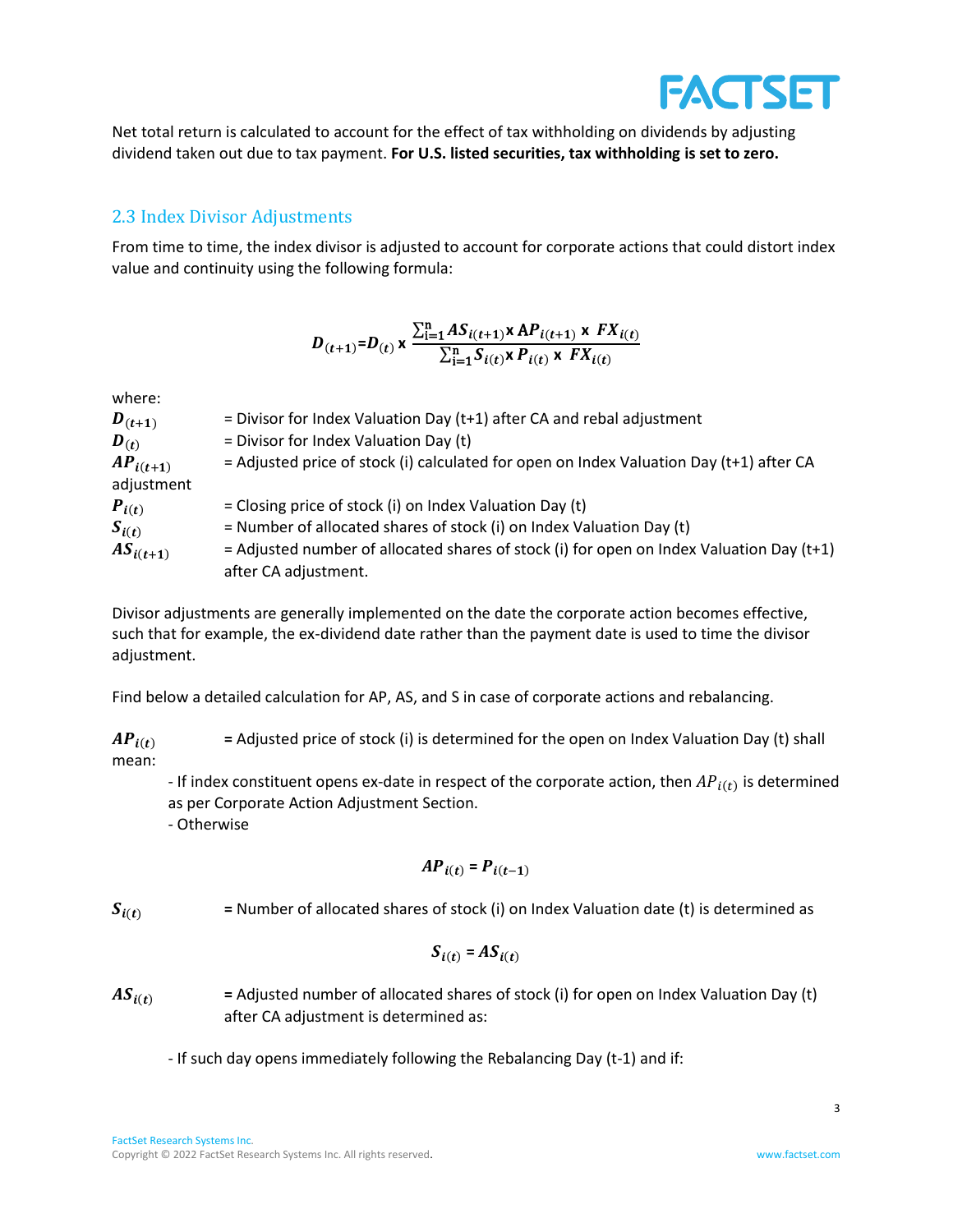Net total return is calculated to account for the effect of tax withholding on dividends by adjusting dividend taken out due to tax payment. **For U.S. listed securities, tax withholding is set to zero.**

# 2.3 Index Divisor Adjustments

From time to time, the index divisor is adjusted to account for corporate actions that could distort index value and continuity using the following formula:

$$
D_{(t+1)}=D_{(t)} \times \frac{\sum_{i=1}^{n} AS_{i(t+1)} \times AP_{i(t+1)} \times FX_{i(t)}}{\sum_{i=1}^{n} S_{i(t)} \times P_{i(t)} \times FX_{i(t)}}
$$

where:

| $\bm{D}_{(t+1)}$ | = Divisor for Index Valuation Day ( $t+1$ ) after CA and rebal adjustment                  |
|------------------|--------------------------------------------------------------------------------------------|
| $\bm{D}_{(t)}$   | = Divisor for Index Valuation Day (t)                                                      |
| $AP_{i(t+1)}$    | = Adjusted price of stock (i) calculated for open on Index Valuation Day (t+1) after CA    |
| adjustment       |                                                                                            |
| $P_{i(t)}$       | = Closing price of stock (i) on Index Valuation Day (t)                                    |
| $S_{i(t)}$       | = Number of allocated shares of stock (i) on Index Valuation Day (t)                       |
| $AS_{i(t+1)}$    | $=$ Adjusted number of allocated shares of stock (i) for open on Index Valuation Day (t+1) |
|                  | after CA adjustment.                                                                       |

Divisor adjustments are generally implemented on the date the corporate action becomes effective, such that for example, the ex-dividend date rather than the payment date is used to time the divisor adjustment.

Find below a detailed calculation for AP, AS, and S in case of corporate actions and rebalancing.

 $AP_{i(t)}$  = Adjusted price of stock (i) is determined for the open on Index Valuation Day (t) shall mean:

- If index constituent opens ex-date in respect of the corporate action, then  $AP_{i(t)}$  is determined as per Corporate Action Adjustment Section.

- Otherwise

$$
AP_{i(t)} = P_{i(t-1)}
$$

 $S_{i(t)}$  = Number of allocated shares of stock (i) on Index Valuation date (t) is determined as

$$
S_{i(t)} = AS_{i(t)}
$$

 $AS_{i(t)}$  = Adjusted number of allocated shares of stock (i) for open on Index Valuation Day (t) after CA adjustment is determined as:

- If such day opens immediately following the Rebalancing Day (t-1) and if:

**FACTSET**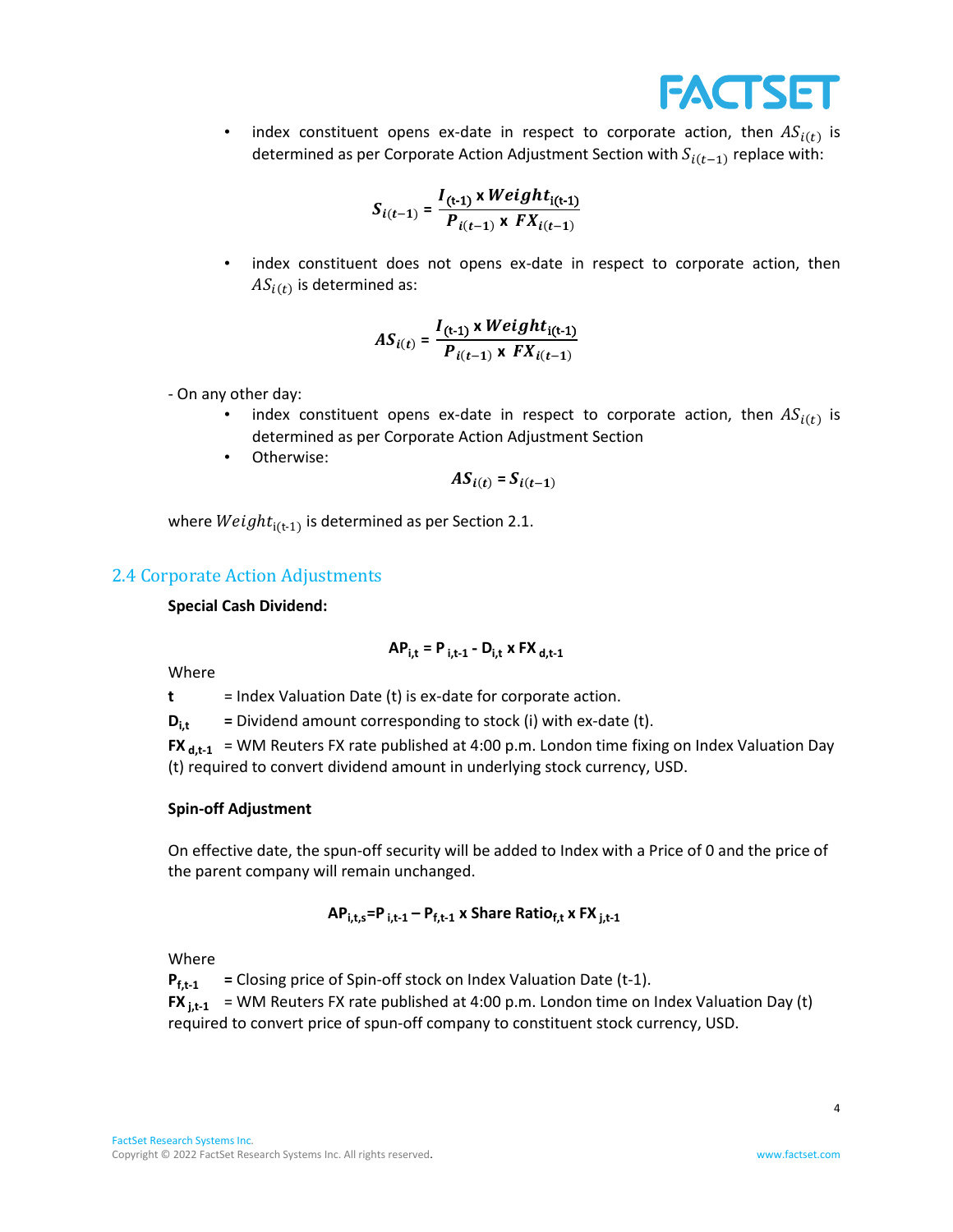

• index constituent opens ex-date in respect to corporate action, then  $AS_{i(t)}$  is determined as per Corporate Action Adjustment Section with  $S_{i(t-1)}$  replace with:

$$
S_{i(t-1)} = \frac{I_{(t-1)} \times Weight_{i(t-1)}}{P_{i(t-1)} \times FX_{i(t-1)}}
$$

index constituent does not opens ex-date in respect to corporate action, then  $AS_{i(t)}$  is determined as:

$$
AS_{i(t)} = \frac{I_{(t-1)} \times Weight_{i(t-1)}}{P_{i(t-1)} \times FX_{i(t-1)}}
$$

- On any other day:
	- index constituent opens ex-date in respect to corporate action, then  $AS_{i(t)}$  is determined as per Corporate Action Adjustment Section
	- Otherwise:

$$
AS_{i(t)} = S_{i(t-1)}
$$

where  $Weight_{i(t-1)}$  is determined as per Section 2.1.

# 2.4 Corporate Action Adjustments

#### **Special Cash Dividend:**

$$
AP_{i,t} = P_{i,t-1} - D_{i,t} \times FX_{d,t-1}
$$

Where

**t** = Index Valuation Date (t) is ex-date for corporate action.

 $D_{i,t}$  = Dividend amount corresponding to stock (i) with ex-date (t).

**FX**  $_{d,t-1}$  = WM Reuters FX rate published at 4:00 p.m. London time fixing on Index Valuation Day (t) required to convert dividend amount in underlying stock currency, USD.

#### **Spin-off Adjustment**

On effective date, the spun-off security will be added to Index with a Price of 0 and the price of the parent company will remain unchanged.

$$
AP_{i,t,s} = P_{i,t-1} - P_{f,t-1} \times \text{Share Ratio}_{f,t} \times \text{FX}_{j,t-1}
$$

Where

**Pf,t-1 =** Closing price of Spin-off stock on Index Valuation Date (t-1). **FX**  $_{i,t-1}$  = WM Reuters FX rate published at 4:00 p.m. London time on Index Valuation Day (t)

required to convert price of spun-off company to constituent stock currency, USD.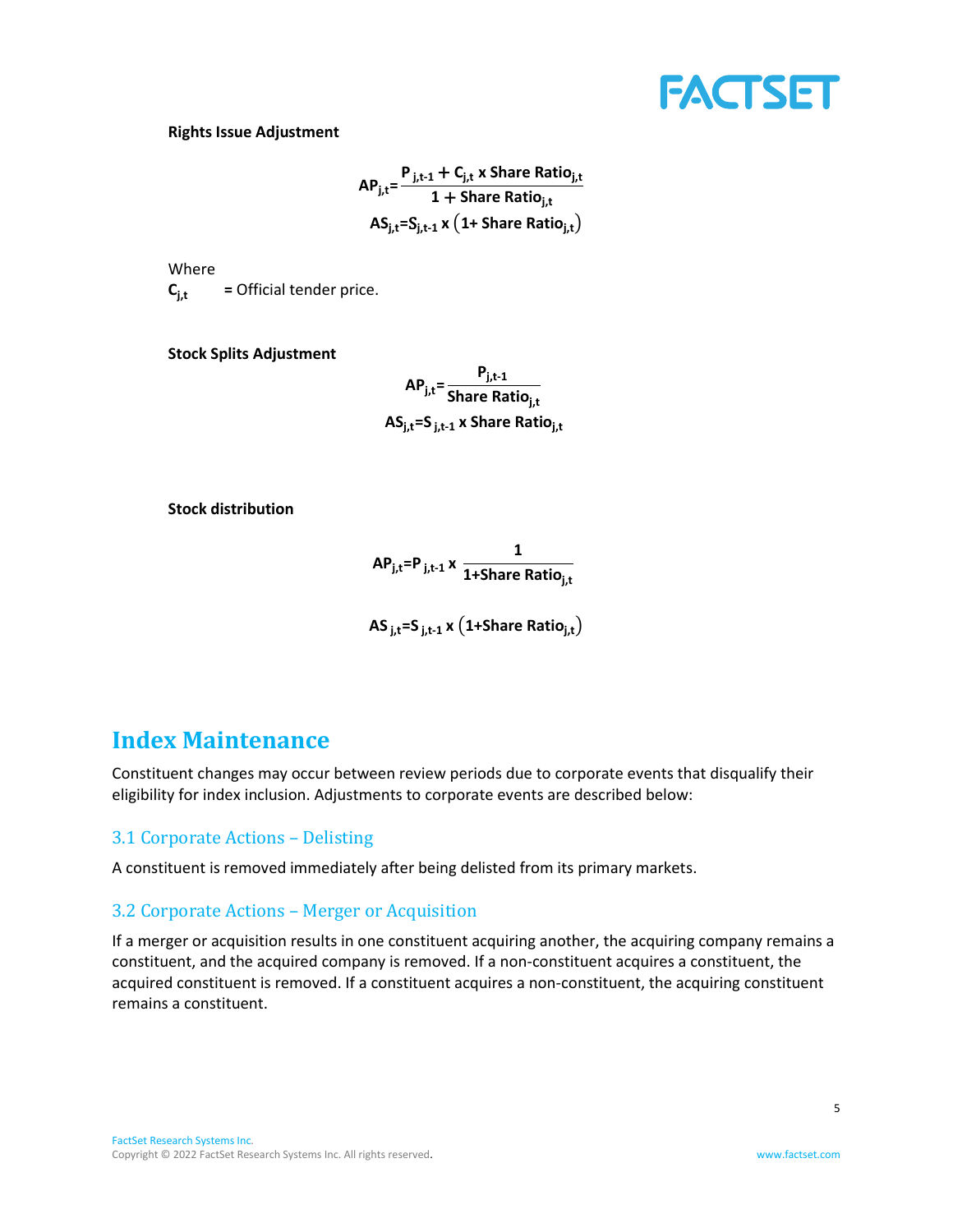

#### **Rights Issue Adjustment**

$$
AP_{j,t} = \frac{P_{j,t-1} + C_{j,t} \times \text{Share Ratio}_{j,t}}{1 + \text{Share Ratio}_{j,t}}
$$

$$
AS_{j,t} = S_{j,t-1} \times (1 + \text{Share Ratio}_{j,t})
$$

Where  $C_{i,t}$  = Official tender price.

**Stock Splits Adjustment**

**APj,t= Pj,t-1 Share Ratioj,t ASj,t=S j,t-1 x Share Ratioj,t**

**Stock distribution**

**APj,t=P j,t-1 x 1 1+Share Ratioj,t**

**AS j,t=S j,t-1 x** (**1+Share Ratioj,t**)

# <span id="page-8-0"></span>**Index Maintenance**

Constituent changes may occur between review periods due to corporate events that disqualify their eligibility for index inclusion. Adjustments to corporate events are described below:

## 3.1 Corporate Actions – Delisting

A constituent is removed immediately after being delisted from its primary markets.

# 3.2 Corporate Actions – Merger or Acquisition

If a merger or acquisition results in one constituent acquiring another, the acquiring company remains a constituent, and the acquired company is removed. If a non-constituent acquires a constituent, the acquired constituent is removed. If a constituent acquires a non-constituent, the acquiring constituent remains a constituent.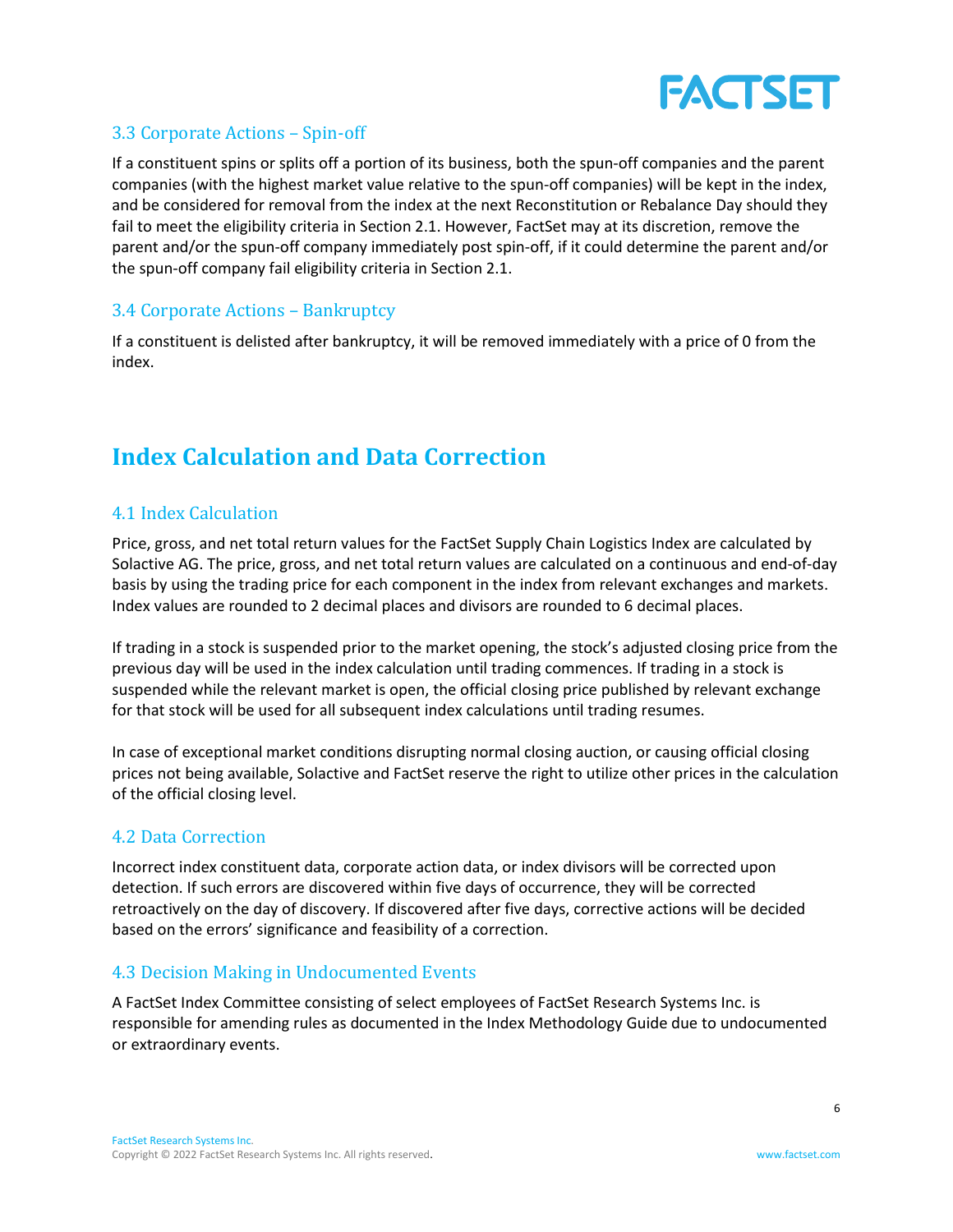

# 3.3 Corporate Actions – Spin-off

If a constituent spins or splits off a portion of its business, both the spun-off companies and the parent companies (with the highest market value relative to the spun-off companies) will be kept in the index, and be considered for removal from the index at the next Reconstitution or Rebalance Day should they fail to meet the eligibility criteria in Section 2.1. However, FactSet may at its discretion, remove the parent and/or the spun-off company immediately post spin-off, if it could determine the parent and/or the spun-off company fail eligibility criteria in Section 2.1.

## 3.4 Corporate Actions – Bankruptcy

If a constituent is delisted after bankruptcy, it will be removed immediately with a price of 0 from the index.

# <span id="page-9-0"></span>**Index Calculation and Data Correction**

# 4.1 Index Calculation

Price, gross, and net total return values for the FactSet Supply Chain Logistics Index are calculated by Solactive AG. The price, gross, and net total return values are calculated on a continuous and end-of-day basis by using the trading price for each component in the index from relevant exchanges and markets. Index values are rounded to 2 decimal places and divisors are rounded to 6 decimal places.

If trading in a stock is suspended prior to the market opening, the stock's adjusted closing price from the previous day will be used in the index calculation until trading commences. If trading in a stock is suspended while the relevant market is open, the official closing price published by relevant exchange for that stock will be used for all subsequent index calculations until trading resumes.

In case of exceptional market conditions disrupting normal closing auction, or causing official closing prices not being available, Solactive and FactSet reserve the right to utilize other prices in the calculation of the official closing level.

## 4.2 Data Correction

Incorrect index constituent data, corporate action data, or index divisors will be corrected upon detection. If such errors are discovered within five days of occurrence, they will be corrected retroactively on the day of discovery. If discovered after five days, corrective actions will be decided based on the errors' significance and feasibility of a correction.

## 4.3 Decision Making in Undocumented Events

<span id="page-9-1"></span>A FactSet Index Committee consisting of select employees of FactSet Research Systems Inc. is responsible for amending rules as documented in the Index Methodology Guide due to undocumented or extraordinary events.